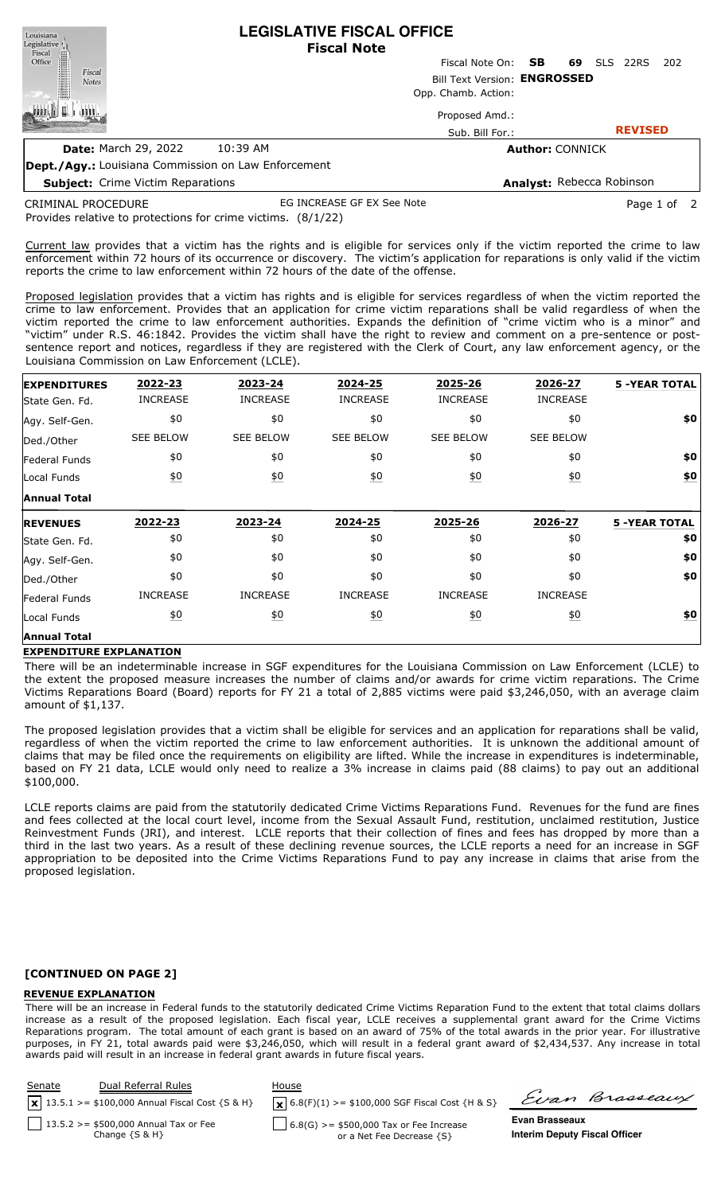| Louisiana                |                                                     |          | LEGISLATIVE FISCAL OFFICE |                              |                           |    |                |      |
|--------------------------|-----------------------------------------------------|----------|---------------------------|------------------------------|---------------------------|----|----------------|------|
| Legislative <sup>1</sup> |                                                     |          | <b>Fiscal Note</b>        |                              |                           |    |                |      |
| Fiscal<br>Office         |                                                     |          |                           | Fiscal Note On: <b>SB</b>    |                           | 69 | SLS 22RS       | -202 |
| Fiscal<br><b>Notes</b>   |                                                     |          |                           | Bill Text Version: ENGROSSED |                           |    |                |      |
|                          |                                                     |          |                           | Opp. Chamb. Action:          |                           |    |                |      |
|                          |                                                     |          |                           | Proposed Amd.:               |                           |    |                |      |
|                          |                                                     |          |                           | Sub. Bill For.:              |                           |    | <b>REVISED</b> |      |
|                          | <b>Date:</b> March 29, 2022                         | 10:39 AM |                           |                              | <b>Author: CONNICK</b>    |    |                |      |
|                          | Dept./Agy.: Louisiana Commission on Law Enforcement |          |                           |                              |                           |    |                |      |
|                          | <b>Subject:</b> Crime Victim Reparations            |          |                           |                              | Analyst: Rebecca Robinson |    |                |      |

**LEGISLATIVE FISCAL OFFICE**

Provides relative to protections for crime victims. (8/1/22) CRIMINAL PROCEDURE EG INCREASE GF EX See Note **Page 1 of 2** and 2

Current law provides that a victim has the rights and is eligible for services only if the victim reported the crime to law enforcement within 72 hours of its occurrence or discovery. The victim's application for reparations is only valid if the victim reports the crime to law enforcement within 72 hours of the date of the offense.

Proposed legislation provides that a victim has rights and is eligible for services regardless of when the victim reported the crime to law enforcement. Provides that an application for crime victim reparations shall be valid regardless of when the victim reported the crime to law enforcement authorities. Expands the definition of "crime victim who is a minor" and "victim" under R.S. 46:1842. Provides the victim shall have the right to review and comment on a pre-sentence or postsentence report and notices, regardless if they are registered with the Clerk of Court, any law enforcement agency, or the Louisiana Commission on Law Enforcement (LCLE).

| <b>EXPENDITURES</b>  | 2022-23           | 2023-24           | 2024-25           | 2025-26          | 2026-27          | <b>5 -YEAR TOTAL</b> |
|----------------------|-------------------|-------------------|-------------------|------------------|------------------|----------------------|
| State Gen. Fd.       | <b>INCREASE</b>   | <b>INCREASE</b>   | <b>INCREASE</b>   | <b>INCREASE</b>  | <b>INCREASE</b>  |                      |
| Agy. Self-Gen.       | \$0               | \$0               | \$0               | \$0              | \$0              | \$0                  |
| Ded./Other           | <b>SEE BELOW</b>  | <b>SEE BELOW</b>  | <b>SEE BELOW</b>  | <b>SEE BELOW</b> | <b>SEE BELOW</b> |                      |
| <b>Federal Funds</b> | \$0               | \$0               | \$0               | \$0              | \$0              | \$0                  |
| Local Funds          | $\underline{\$0}$ | $\underline{50}$  | $\underline{\$0}$ | $\underline{40}$ | $\underline{40}$ | \$0                  |
| <b>Annual Total</b>  |                   |                   |                   |                  |                  |                      |
|                      |                   |                   |                   |                  |                  |                      |
| <b>REVENUES</b>      | 2022-23           | 2023-24           | 2024-25           | 2025-26          | 2026-27          | <b>5 -YEAR TOTAL</b> |
| State Gen. Fd.       | \$0               | \$0               | \$0               | \$0              | \$0              | \$0                  |
| Agy. Self-Gen.       | \$0               | \$0               | \$0               | \$0              | \$0              | \$0                  |
| Ded./Other           | \$0               | \$0               | \$0               | \$0              | \$0              | \$0                  |
| <b>Federal Funds</b> | <b>INCREASE</b>   | <b>INCREASE</b>   | <b>INCREASE</b>   | <b>INCREASE</b>  | <b>INCREASE</b>  |                      |
| Local Funds          | <u>\$0</u>        | $\underline{\$0}$ | <u>\$0</u>        | 60               | $\underline{40}$ | \$0                  |

#### **EXPENDITURE EXPLANATION**

There will be an indeterminable increase in SGF expenditures for the Louisiana Commission on Law Enforcement (LCLE) to the extent the proposed measure increases the number of claims and/or awards for crime victim reparations. The Crime Victims Reparations Board (Board) reports for FY 21 a total of 2,885 victims were paid \$3,246,050, with an average claim amount of \$1,137.

The proposed legislation provides that a victim shall be eligible for services and an application for reparations shall be valid, regardless of when the victim reported the crime to law enforcement authorities. It is unknown the additional amount of claims that may be filed once the requirements on eligibility are lifted. While the increase in expenditures is indeterminable, based on FY 21 data, LCLE would only need to realize a 3% increase in claims paid (88 claims) to pay out an additional \$100,000.

LCLE reports claims are paid from the statutorily dedicated Crime Victims Reparations Fund. Revenues for the fund are fines and fees collected at the local court level, income from the Sexual Assault Fund, restitution, unclaimed restitution, Justice Reinvestment Funds (JRI), and interest. LCLE reports that their collection of fines and fees has dropped by more than a third in the last two years. As a result of these declining revenue sources, the LCLE reports a need for an increase in SGF appropriation to be deposited into the Crime Victims Reparations Fund to pay any increase in claims that arise from the proposed legislation.

### **[CONTINUED ON PAGE 2]**

#### **REVENUE EXPLANATION**

There will be an increase in Federal funds to the statutorily dedicated Crime Victims Reparation Fund to the extent that total claims dollars increase as a result of the proposed legislation. Each fiscal year, LCLE receives a supplemental grant award for the Crime Victims Reparations program. The total amount of each grant is based on an award of 75% of the total awards in the prior year. For illustrative purposes, in FY 21, total awards paid were \$3,246,050, which will result in a federal grant award of \$2,434,537. Any increase in total awards paid will result in an increase in federal grant awards in future fiscal years.